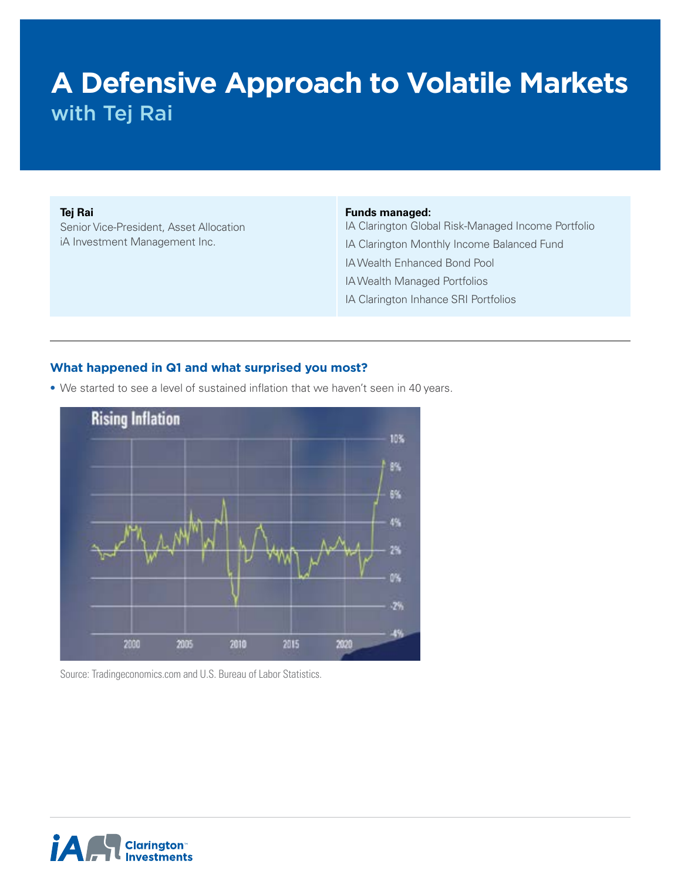# **A Defensive Approach to Volatile Markets** with Tej Rai

#### **Tej Rai**

Senior Vice-President, Asset Allocation iA Investment Management Inc.

#### **Funds managed:**

IA Clarington Global Risk-Managed Income Portfolio IA Clarington Monthly Income Balanced Fund IA Wealth Enhanced Bond Pool IA Wealth Managed Portfolios IA Clarington Inhance SRI Portfolios

#### **What happened in Q1 and what surprised you most?**

• We started to see a level of sustained inflation that we haven't seen in 40 years.



Source: Tradingeconomics.com and U.S. Bureau of Labor Statistics.

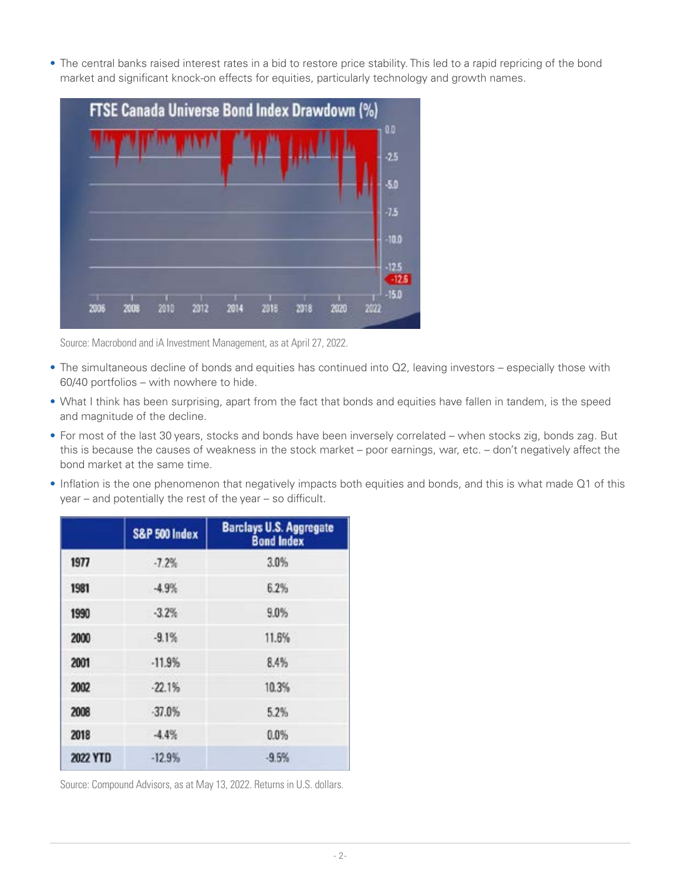• The central banks raised interest rates in a bid to restore price stability. This led to a rapid repricing of the bond market and significant knock-on effects for equities, particularly technology and growth names.



Source: Macrobond and iA Investment Management, as at April 27, 2022.

- The simultaneous decline of bonds and equities has continued into Q2, leaving investors especially those with 60/40 portfolios – with nowhere to hide.
- What I think has been surprising, apart from the fact that bonds and equities have fallen in tandem, is the speed and magnitude of the decline.
- For most of the last 30 years, stocks and bonds have been inversely correlated when stocks zig, bonds zag. But this is because the causes of weakness in the stock market – poor earnings, war, etc. – don't negatively affect the bond market at the same time.
- Inflation is the one phenomenon that negatively impacts both equities and bonds, and this is what made Q1 of this year – and potentially the rest of the year – so difficult.

|          | S&P 500 Index | <b>Barclays U.S. Aggregate</b><br><b>Bond Index</b> |
|----------|---------------|-----------------------------------------------------|
| 1977     | $-7.2%$       | 3.0%                                                |
| 1981     | $-4.9%$       | 6.2%                                                |
| 1990     | $-3.2%$       | 9.0%                                                |
| 2000     | $-9.1%$       | 11.6%                                               |
| 2001     | $-11.9%$      | 8.4%                                                |
| 2002     | $-22.1%$      | 10.3%                                               |
| 2008     | $-37.0%$      | 5.2%                                                |
| 2018     | $-4.4%$       | 0.0%                                                |
| 2022 YTD | $-12.9%$      | $-9.5%$                                             |

Source: Compound Advisors, as at May 13, 2022. Returns in U.S. dollars.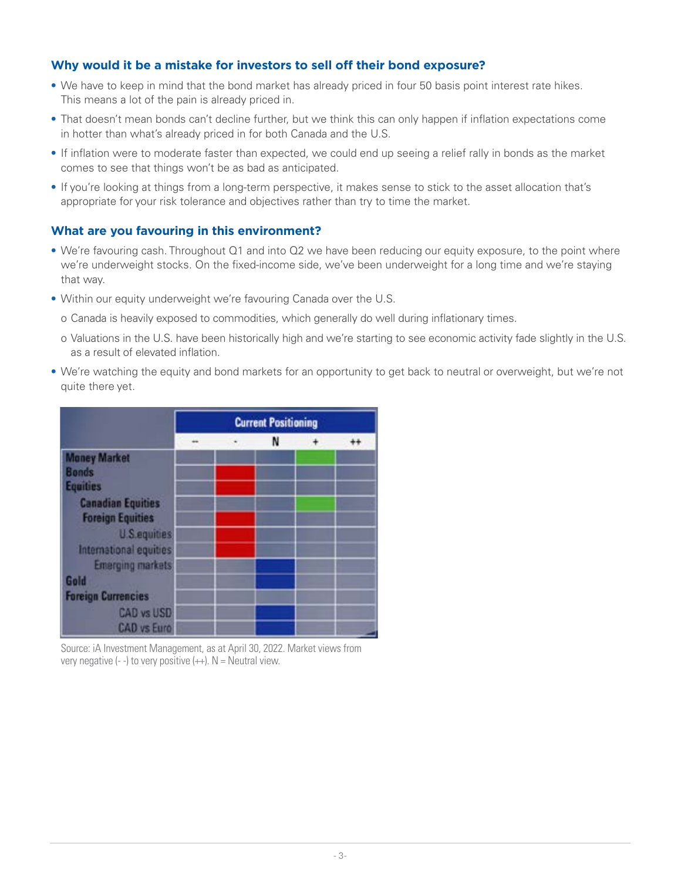## **Why would it be a mistake for investors to sell off their bond exposure?**

- We have to keep in mind that the bond market has already priced in four 50 basis point interest rate hikes. This means a lot of the pain is already priced in.
- That doesn't mean bonds can't decline further, but we think this can only happen if inflation expectations come in hotter than what's already priced in for both Canada and the U.S.
- If inflation were to moderate faster than expected, we could end up seeing a relief rally in bonds as the market comes to see that things won't be as bad as anticipated.
- If you're looking at things from a long-term perspective, it makes sense to stick to the asset allocation that's appropriate for your risk tolerance and objectives rather than try to time the market.

### **What are you favouring in this environment?**

- We're favouring cash. Throughout Q1 and into Q2 we have been reducing our equity exposure, to the point where we're underweight stocks. On the fixed-income side, we've been underweight for a long time and we're staying that way.
- Within our equity underweight we're favouring Canada over the U.S.
	- o Canada is heavily exposed to commodities, which generally do well during inflationary times.
	- o Valuations in the U.S. have been historically high and we're starting to see economic activity fade slightly in the U.S. as a result of elevated inflation.
- We're watching the equity and bond markets for an opportunity to get back to neutral or overweight, but we're not quite there yet.



Source: iA Investment Management, as at April 30, 2022. Market views from very negative  $(-)$  to very positive  $(+)$ . N = Neutral view.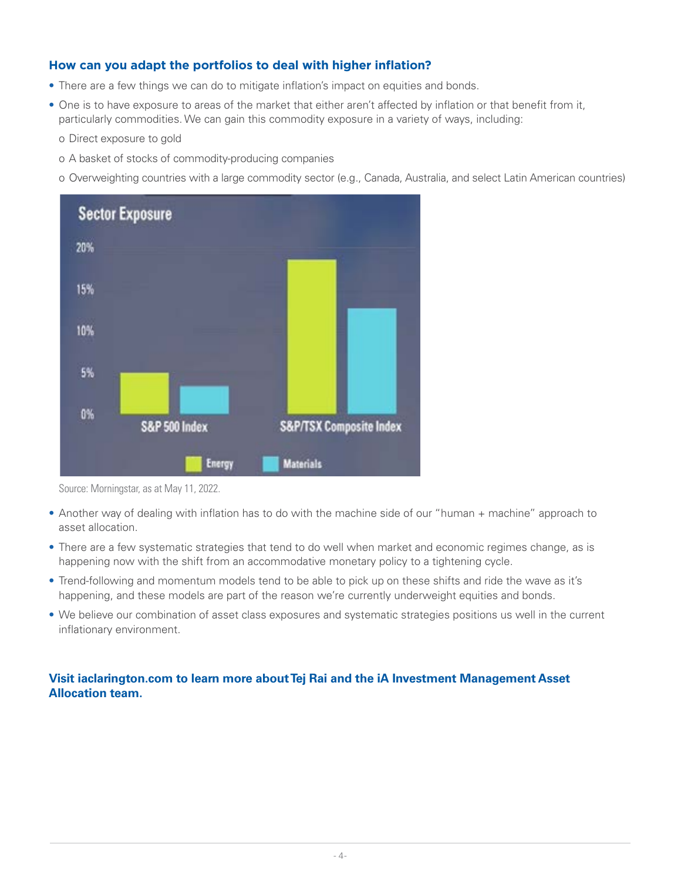# **How can you adapt the portfolios to deal with higher inflation?**

- There are a few things we can do to mitigate inflation's impact on equities and bonds.
- One is to have exposure to areas of the market that either aren't affected by inflation or that benefit from it, particularly commodities. We can gain this commodity exposure in a variety of ways, including:
	- o Direct exposure to gold
	- o A basket of stocks of commodity-producing companies
	- o Overweighting countries with a large commodity sector (e.g., Canada, Australia, and select Latin American countries)



Source: Morningstar, as at May 11, 2022.

- Another way of dealing with inflation has to do with the machine side of our "human + machine" approach to asset allocation.
- There are a few systematic strategies that tend to do well when market and economic regimes change, as is happening now with the shift from an accommodative monetary policy to a tightening cycle.
- Trend-following and momentum models tend to be able to pick up on these shifts and ride the wave as it's happening, and these models are part of the reason we're currently underweight equities and bonds.
- We believe our combination of asset class exposures and systematic strategies positions us well in the current inflationary environment.

# **Visit [iaclarington.com](http://iaclarington.com) to learn more about Tej Rai and the iA Investment Management Asset Allocation team.**